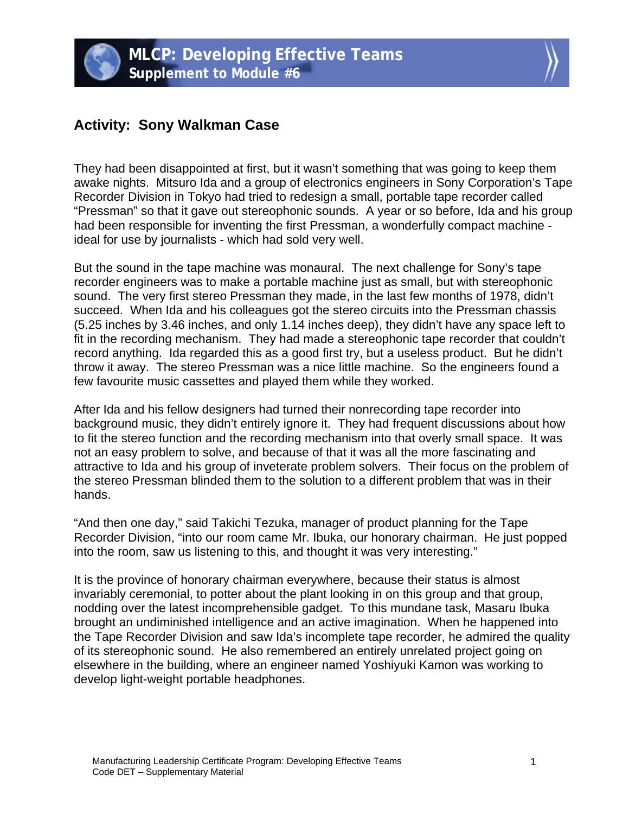

## **Activity: Sony Walkman Case**

They had been disappointed at first, but it wasn't something that was going to keep them awake nights. Mitsuro Ida and a group of electronics engineers in Sony Corporation's Tape Recorder Division in Tokyo had tried to redesign a small, portable tape recorder called "Pressman" so that it gave out stereophonic sounds. A year or so before, Ida and his group had been responsible for inventing the first Pressman, a wonderfully compact machine ideal for use by journalists - which had sold very well.

But the sound in the tape machine was monaural. The next challenge for Sony's tape recorder engineers was to make a portable machine just as small, but with stereophonic sound. The very first stereo Pressman they made, in the last few months of 1978, didn't succeed. When Ida and his colleagues got the stereo circuits into the Pressman chassis (5.25 inches by 3.46 inches, and only 1.14 inches deep), they didn't have any space left to fit in the recording mechanism. They had made a stereophonic tape recorder that couldn't record anything. Ida regarded this as a good first try, but a useless product. But he didn't throw it away. The stereo Pressman was a nice little machine. So the engineers found a few favourite music cassettes and played them while they worked.

After Ida and his fellow designers had turned their nonrecording tape recorder into background music, they didn't entirely ignore it. They had frequent discussions about how to fit the stereo function and the recording mechanism into that overly small space. It was not an easy problem to solve, and because of that it was all the more fascinating and attractive to Ida and his group of inveterate problem solvers. Their focus on the problem of the stereo Pressman blinded them to the solution to a different problem that was in their hands.

"And then one day," said Takichi Tezuka, manager of product planning for the Tape Recorder Division, "into our room came Mr. Ibuka, our honorary chairman. He just popped into the room, saw us listening to this, and thought it was very interesting."

It is the province of honorary chairman everywhere, because their status is almost invariably ceremonial, to potter about the plant looking in on this group and that group, nodding over the latest incomprehensible gadget. To this mundane task, Masaru Ibuka brought an undiminished intelligence and an active imagination. When he happened into the Tape Recorder Division and saw Ida's incomplete tape recorder, he admired the quality of its stereophonic sound. He also remembered an entirely unrelated project going on elsewhere in the building, where an engineer named Yoshiyuki Kamon was working to develop light-weight portable headphones.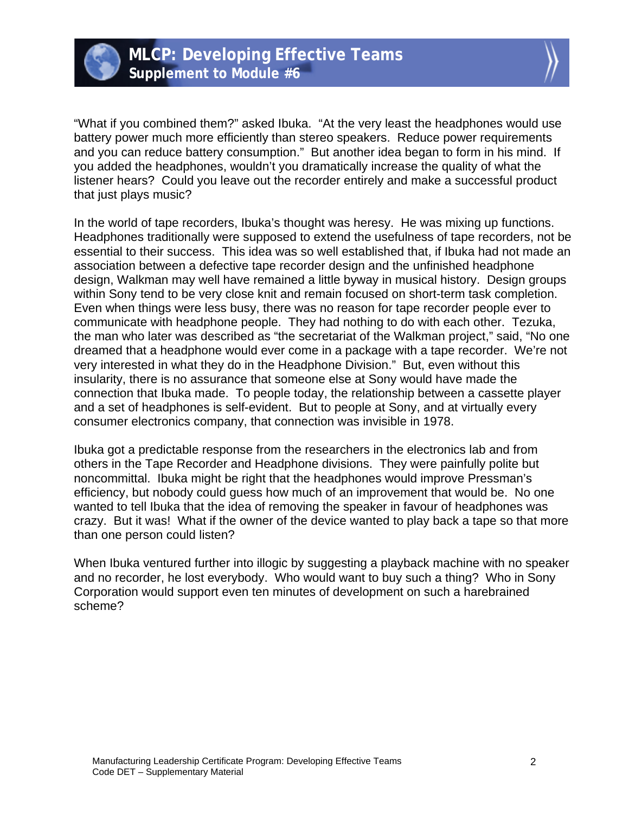



"What if you combined them?" asked Ibuka. "At the very least the headphones would use battery power much more efficiently than stereo speakers. Reduce power requirements and you can reduce battery consumption." But another idea began to form in his mind. If you added the headphones, wouldn't you dramatically increase the quality of what the listener hears? Could you leave out the recorder entirely and make a successful product that just plays music?

In the world of tape recorders, Ibuka's thought was heresy. He was mixing up functions. Headphones traditionally were supposed to extend the usefulness of tape recorders, not be essential to their success. This idea was so well established that, if Ibuka had not made an association between a defective tape recorder design and the unfinished headphone design, Walkman may well have remained a little byway in musical history. Design groups within Sony tend to be very close knit and remain focused on short-term task completion. Even when things were less busy, there was no reason for tape recorder people ever to communicate with headphone people. They had nothing to do with each other. Tezuka, the man who later was described as "the secretariat of the Walkman project," said, "No one dreamed that a headphone would ever come in a package with a tape recorder. We're not very interested in what they do in the Headphone Division." But, even without this insularity, there is no assurance that someone else at Sony would have made the connection that Ibuka made. To people today, the relationship between a cassette player and a set of headphones is self-evident. But to people at Sony, and at virtually every consumer electronics company, that connection was invisible in 1978.

Ibuka got a predictable response from the researchers in the electronics lab and from others in the Tape Recorder and Headphone divisions. They were painfully polite but noncommittal. Ibuka might be right that the headphones would improve Pressman's efficiency, but nobody could guess how much of an improvement that would be. No one wanted to tell Ibuka that the idea of removing the speaker in favour of headphones was crazy. But it was! What if the owner of the device wanted to play back a tape so that more than one person could listen?

When Ibuka ventured further into illogic by suggesting a playback machine with no speaker and no recorder, he lost everybody. Who would want to buy such a thing? Who in Sony Corporation would support even ten minutes of development on such a harebrained scheme?